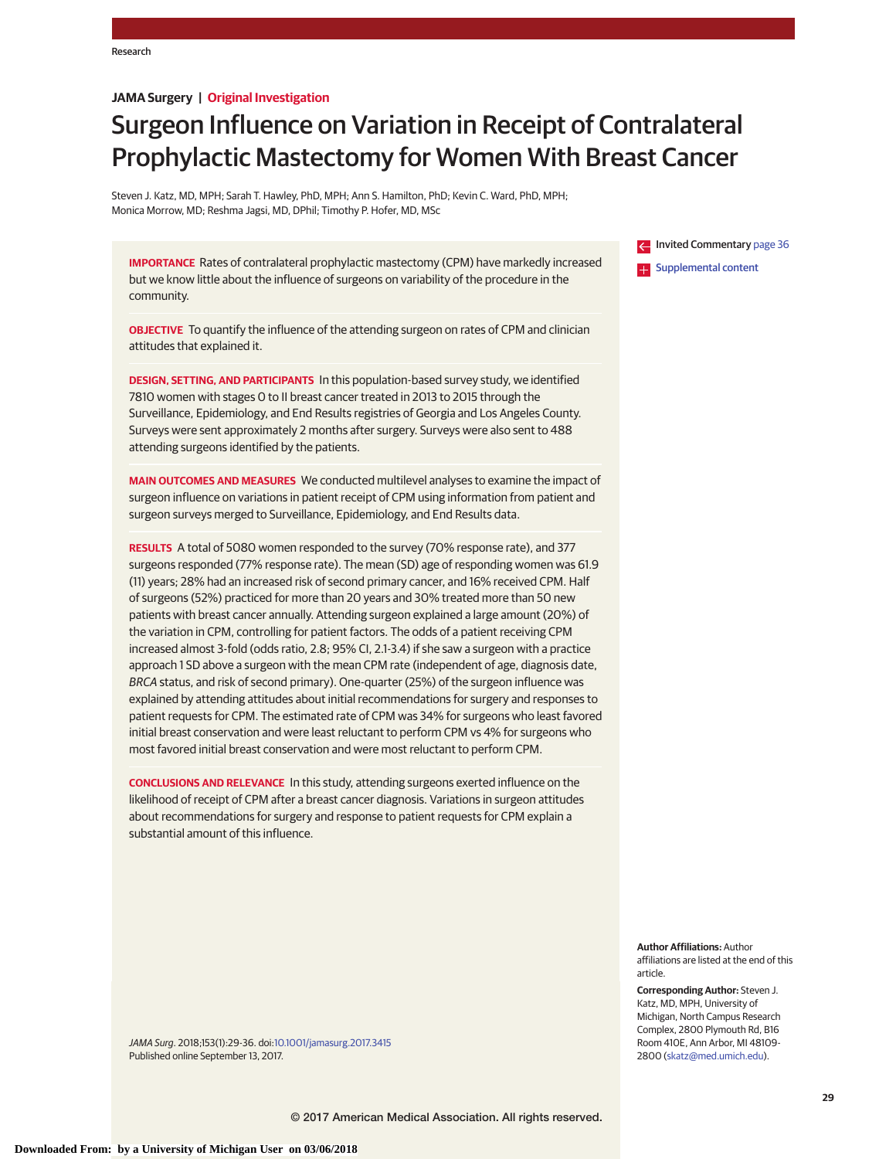# **JAMA Surgery | Original Investigation**

# Surgeon Influence on Variation in Receipt of Contralateral Prophylactic Mastectomy for Women With Breast Cancer

Steven J. Katz, MD, MPH; Sarah T. Hawley, PhD, MPH; Ann S. Hamilton, PhD; Kevin C. Ward, PhD, MPH; Monica Morrow, MD; Reshma Jagsi, MD, DPhil; Timothy P. Hofer, MD, MSc

**IMPORTANCE** Rates of contralateral prophylactic mastectomy (CPM) have markedly increased but we know little about the influence of surgeons on variability of the procedure in the community.

**OBJECTIVE** To quantify the influence of the attending surgeon on rates of CPM and clinician attitudes that explained it.

**DESIGN, SETTING, AND PARTICIPANTS** In this population-based survey study, we identified 7810 women with stages 0 to II breast cancer treated in 2013 to 2015 through the Surveillance, Epidemiology, and End Results registries of Georgia and Los Angeles County. Surveys were sent approximately 2 months after surgery. Surveys were also sent to 488 attending surgeons identified by the patients.

**MAIN OUTCOMES AND MEASURES** We conducted multilevel analyses to examine the impact of surgeon influence on variations in patient receipt of CPM using information from patient and surgeon surveys merged to Surveillance, Epidemiology, and End Results data.

**RESULTS** A total of 5080 women responded to the survey (70% response rate), and 377 surgeons responded (77% response rate). The mean (SD) age of responding women was 61.9 (11) years; 28% had an increased risk of second primary cancer, and 16% received CPM. Half of surgeons (52%) practiced for more than 20 years and 30% treated more than 50 new patients with breast cancer annually. Attending surgeon explained a large amount (20%) of the variation in CPM, controlling for patient factors. The odds of a patient receiving CPM increased almost 3-fold (odds ratio, 2.8; 95% CI, 2.1-3.4) if she saw a surgeon with a practice approach 1 SD above a surgeon with the mean CPM rate (independent of age, diagnosis date, BRCA status, and risk of second primary). One-quarter (25%) of the surgeon influence was explained by attending attitudes about initial recommendations for surgery and responses to patient requests for CPM. The estimated rate of CPM was 34% for surgeons who least favored initial breast conservation and were least reluctant to perform CPM vs 4% for surgeons who most favored initial breast conservation and were most reluctant to perform CPM.

**CONCLUSIONS AND RELEVANCE** In this study, attending surgeons exerted influence on the likelihood of receipt of CPM after a breast cancer diagnosis. Variations in surgeon attitudes about recommendations for surgery and response to patient requests for CPM explain a substantial amount of this influence.

**Invited Commentary [page 36](http://jama.jamanetwork.com/article.aspx?doi=10.1001/jamasurg.2017.3435&utm_campaign=articlePDF%26utm_medium=articlePDFlink%26utm_source=articlePDF%26utm_content=jamasurg.2017.3415)** [Supplemental content](http://jama.jamanetwork.com/article.aspx?doi=10.1001/jamasurg.2017.3415&utm_campaign=articlePDF%26utm_medium=articlePDFlink%26utm_source=articlePDF%26utm_content=jamasurg.2017.3415)

**Author Affiliations:** Author affiliations are listed at the end of this article.

**Corresponding Author:** Steven J. Katz, MD, MPH, University of Michigan, North Campus Research Complex, 2800 Plymouth Rd, B16 Room 410E, Ann Arbor, MI 48109- 2800 [\(skatz@med.umich.edu\)](mailto:skatz@med.umich.edu).

JAMA Surg. 2018;153(1):29-36. doi[:10.1001/jamasurg.2017.3415](http://jama.jamanetwork.com/article.aspx?doi=10.1001/jamasurg.2017.3415&utm_campaign=articlePDF%26utm_medium=articlePDFlink%26utm_source=articlePDF%26utm_content=jamasurg.2017.3415) Published online September 13, 2017.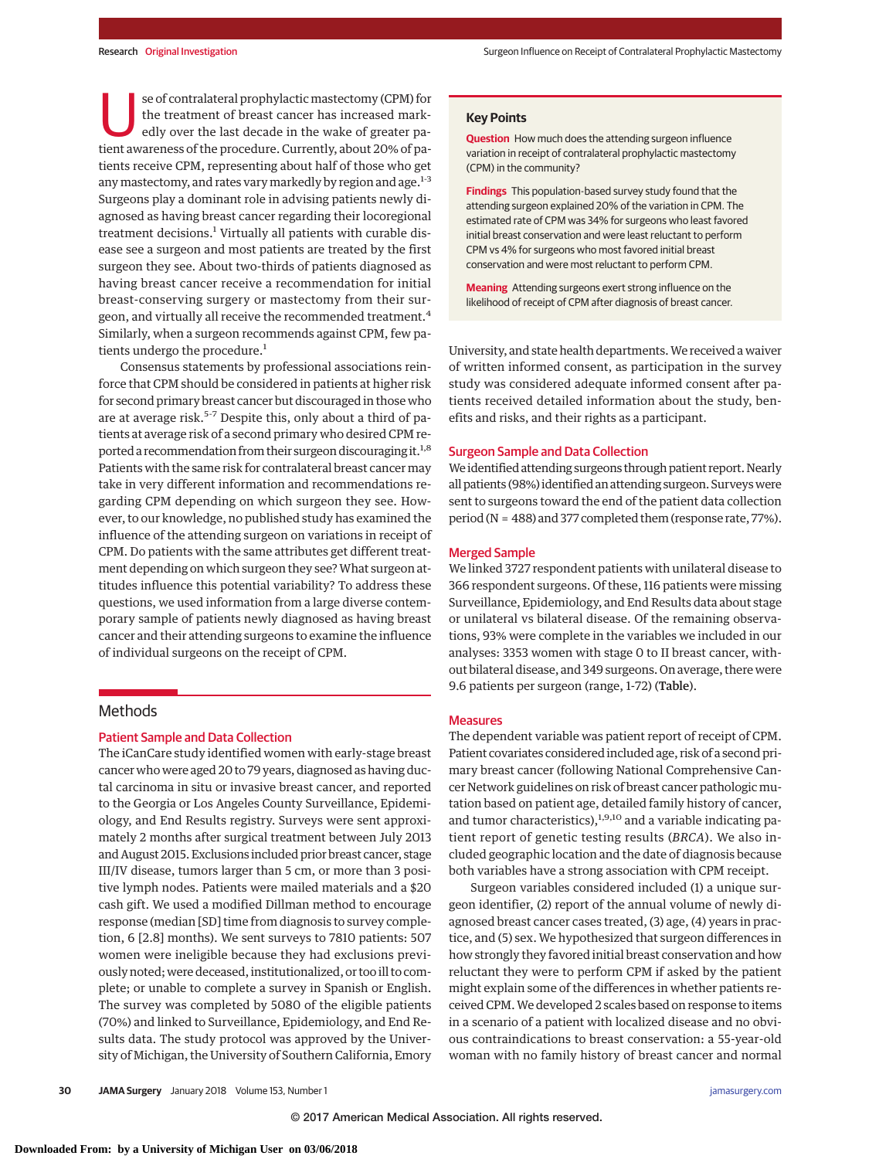se of contralateral prophylactic mastectomy (CPM) for the treatment of breast cancer has increased markedly over the last decade in the wake of greater patient awareness of the procedure. Currently, about 20% of patients receive CPM, representing about half of those who get any mastectomy, and rates vary markedly by region and age. $1-3$ Surgeons play a dominant role in advising patients newly diagnosed as having breast cancer regarding their locoregional treatment decisions.<sup>1</sup> Virtually all patients with curable disease see a surgeon and most patients are treated by the first surgeon they see. About two-thirds of patients diagnosed as having breast cancer receive a recommendation for initial breast-conserving surgery or mastectomy from their surgeon, and virtually all receive the recommended treatment.<sup>4</sup> Similarly, when a surgeon recommends against CPM, few patients undergo the procedure.<sup>1</sup>

Consensus statements by professional associations reinforce that CPM should be considered in patients at higher risk for second primary breast cancer but discouraged in those who are at average risk.<sup>5-7</sup> Despite this, only about a third of patients at average risk of a second primary who desired CPM reported a recommendation from their surgeon discouraging it.<sup>1,8</sup> Patients with the same risk for contralateral breast cancer may take in very different information and recommendations regarding CPM depending on which surgeon they see. However, to our knowledge, no published study has examined the influence of the attending surgeon on variations in receipt of CPM. Do patients with the same attributes get different treatment depending on which surgeon they see?What surgeon attitudes influence this potential variability? To address these questions, we used information from a large diverse contemporary sample of patients newly diagnosed as having breast cancer and their attending surgeons to examine the influence of individual surgeons on the receipt of CPM.

# **Methods**

### Patient Sample and Data Collection

The iCanCare study identified women with early-stage breast cancer who were aged 20 to 79 years, diagnosed as having ductal carcinoma in situ or invasive breast cancer, and reported to the Georgia or Los Angeles County Surveillance, Epidemiology, and End Results registry. Surveys were sent approximately 2 months after surgical treatment between July 2013 and August 2015. Exclusions included prior breast cancer, stage III/IV disease, tumors larger than 5 cm, or more than 3 positive lymph nodes. Patients were mailed materials and a \$20 cash gift. We used a modified Dillman method to encourage response (median [SD] time from diagnosis to survey completion, 6 [2.8] months). We sent surveys to 7810 patients: 507 women were ineligible because they had exclusions previously noted; were deceased, institutionalized, or too ill to complete; or unable to complete a survey in Spanish or English. The survey was completed by 5080 of the eligible patients (70%) and linked to Surveillance, Epidemiology, and End Results data. The study protocol was approved by the University of Michigan, the University of Southern California, Emory

## **Key Points**

**Question** How much does the attending surgeon influence variation in receipt of contralateral prophylactic mastectomy (CPM) in the community?

**Findings** This population-based survey study found that the attending surgeon explained 20% of the variation in CPM. The estimated rate of CPM was 34% for surgeons who least favored initial breast conservation and were least reluctant to perform CPM vs 4% for surgeons who most favored initial breast conservation and were most reluctant to perform CPM.

**Meaning** Attending surgeons exert strong influence on the likelihood of receipt of CPM after diagnosis of breast cancer.

University, and state health departments.We received a waiver of written informed consent, as participation in the survey study was considered adequate informed consent after patients received detailed information about the study, benefits and risks, and their rights as a participant.

## Surgeon Sample and Data Collection

We identified attending surgeons through patient report. Nearly all patients (98%) identified an attending surgeon. Surveys were sent to surgeons toward the end of the patient data collection period (N = 488) and 377 completed them (response rate, 77%).

## Merged Sample

We linked 3727 respondent patients with unilateral disease to 366 respondent surgeons. Of these, 116 patients were missing Surveillance, Epidemiology, and End Results data about stage or unilateral vs bilateral disease. Of the remaining observations, 93% were complete in the variables we included in our analyses: 3353 women with stage 0 to II breast cancer, without bilateral disease, and 349 surgeons. On average, there were 9.6 patients per surgeon (range, 1-72) (Table).

### Measures

The dependent variable was patient report of receipt of CPM. Patient covariates considered included age, risk of a second primary breast cancer (following National Comprehensive Cancer Network guidelines on risk of breast cancer pathologic mutation based on patient age, detailed family history of cancer, and tumor characteristics),<sup>1,9,10</sup> and a variable indicating patient report of genetic testing results (*BRCA*). We also included geographic location and the date of diagnosis because both variables have a strong association with CPM receipt.

Surgeon variables considered included (1) a unique surgeon identifier, (2) report of the annual volume of newly diagnosed breast cancer cases treated, (3) age, (4) years in practice, and (5) sex. We hypothesized that surgeon differences in how strongly they favored initial breast conservation and how reluctant they were to perform CPM if asked by the patient might explain some of the differences in whether patients received CPM.We developed 2 scales based on response to items in a scenario of a patient with localized disease and no obvious contraindications to breast conservation: a 55-year-old woman with no family history of breast cancer and normal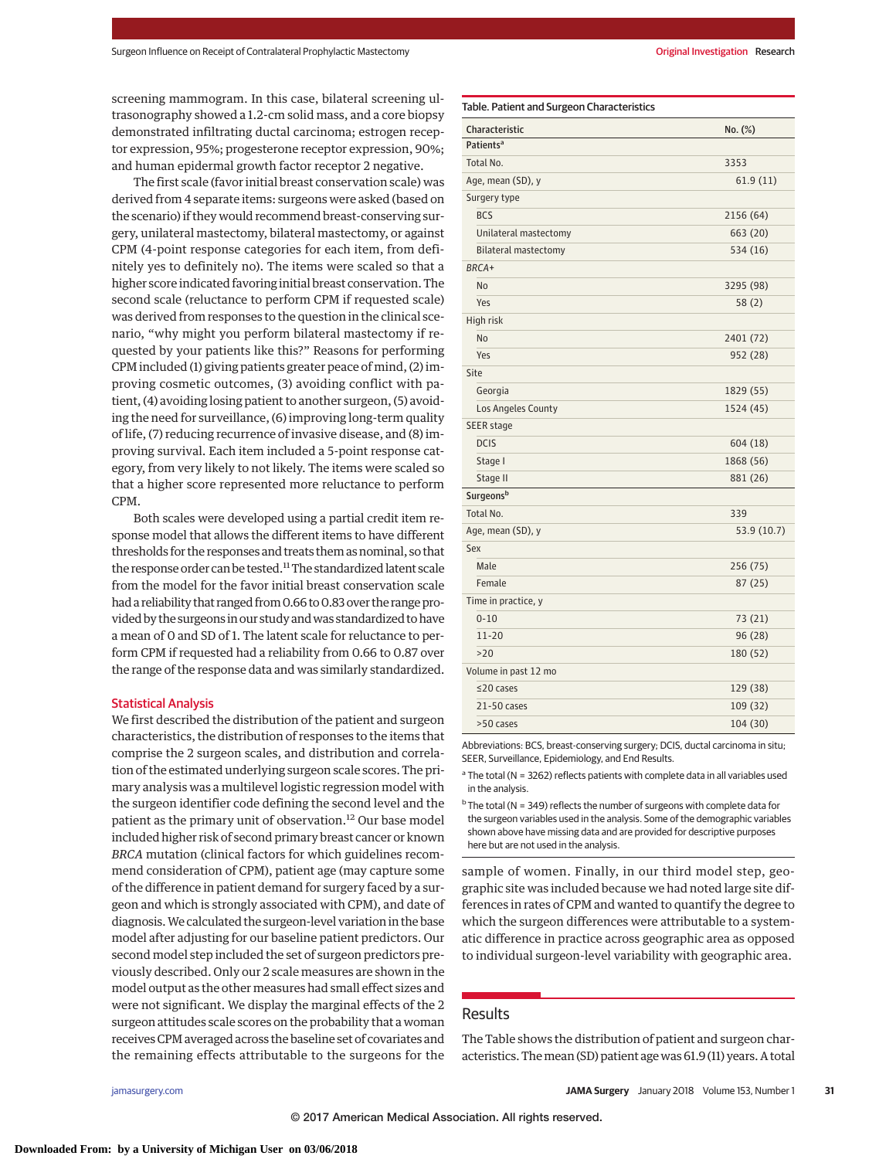screening mammogram. In this case, bilateral screening ultrasonography showed a 1.2-cm solid mass, and a core biopsy demonstrated infiltrating ductal carcinoma; estrogen receptor expression, 95%; progesterone receptor expression, 90%; and human epidermal growth factor receptor 2 negative.

The first scale (favor initial breast conservation scale) was derived from 4 separate items: surgeons were asked (based on the scenario) if they would recommend breast-conserving surgery, unilateral mastectomy, bilateral mastectomy, or against CPM (4-point response categories for each item, from definitely yes to definitely no). The items were scaled so that a higher score indicated favoring initial breast conservation. The second scale (reluctance to perform CPM if requested scale) was derived from responses to the question in the clinical scenario, "why might you perform bilateral mastectomy if requested by your patients like this?" Reasons for performing CPM included (1) giving patients greater peace of mind, (2) improving cosmetic outcomes, (3) avoiding conflict with patient, (4) avoiding losing patient to another surgeon, (5) avoiding the need for surveillance, (6) improving long-term quality of life, (7) reducing recurrence of invasive disease, and (8) improving survival. Each item included a 5-point response category, from very likely to not likely. The items were scaled so that a higher score represented more reluctance to perform CPM.

Both scales were developed using a partial credit item response model that allows the different items to have different thresholds for the responses and treats them as nominal, so that the response order can be tested.<sup>11</sup> The standardized latent scale from the model for the favor initial breast conservation scale had a reliability that ranged from 0.66 to 0.83 over the range provided by the surgeons in our study andwas standardized to have a mean of 0 and SD of 1. The latent scale for reluctance to perform CPM if requested had a reliability from 0.66 to 0.87 over the range of the response data and was similarly standardized.

#### Statistical Analysis

We first described the distribution of the patient and surgeon characteristics, the distribution of responses to the items that comprise the 2 surgeon scales, and distribution and correlation of the estimated underlying surgeon scale scores. The primary analysis was a multilevel logistic regression model with the surgeon identifier code defining the second level and the patient as the primary unit of observation.<sup>12</sup> Our base model included higher risk of second primary breast cancer or known *BRCA* mutation (clinical factors for which guidelines recommend consideration of CPM), patient age (may capture some of the difference in patient demand for surgery faced by a surgeon and which is strongly associated with CPM), and date of diagnosis.We calculated the surgeon-level variation in the base model after adjusting for our baseline patient predictors. Our second model step included the set of surgeon predictors previously described. Only our 2 scale measures are shown in the model output as the other measures had small effect sizes and were not significant. We display the marginal effects of the 2 surgeon attitudes scale scores on the probability that a woman receives CPM averaged across the baseline set of covariates and the remaining effects attributable to the surgeons for the

| Characteristic              | No. (%)     |
|-----------------------------|-------------|
| Patients <sup>a</sup>       |             |
| Total No.                   | 3353        |
| Age, mean (SD), y           | 61.9(11)    |
| Surgery type                |             |
| <b>BCS</b>                  | 2156 (64)   |
| Unilateral mastectomy       | 663 (20)    |
| <b>Bilateral mastectomy</b> | 534 (16)    |
| BRCA+                       |             |
| <b>No</b>                   | 3295 (98)   |
| Yes                         | 58(2)       |
| High risk                   |             |
| <b>No</b>                   | 2401 (72)   |
| Yes                         | 952 (28)    |
| Site                        |             |
| Georgia                     | 1829 (55)   |
| Los Angeles County          | 1524 (45)   |
| SEER stage                  |             |
| <b>DCIS</b>                 | 604 (18)    |
| Stage I                     | 1868 (56)   |
| Stage II                    | 881 (26)    |
| Surgeons <sup>b</sup>       |             |
| Total No.                   | 339         |
| Age, mean (SD), y           | 53.9 (10.7) |
| Sex                         |             |
| Male                        | 256 (75)    |
| Female                      | 87(25)      |
| Time in practice, y         |             |
| $0 - 10$                    | 73 (21)     |
| $11 - 20$                   | 96 (28)     |
| >20                         | 180 (52)    |
| Volume in past 12 mo        |             |
| $\leq$ 20 cases             | 129 (38)    |
|                             |             |
| $21 - 50$ cases             | 109 (32)    |

Abbreviations: BCS, breast-conserving surgery; DCIS, ductal carcinoma in situ; SEER, Surveillance, Epidemiology, and End Results.

 $a$  The total (N = 3262) reflects patients with complete data in all variables used in the analysis.

 $b$  The total (N = 349) reflects the number of surgeons with complete data for the surgeon variables used in the analysis. Some of the demographic variables shown above have missing data and are provided for descriptive purposes here but are not used in the analysis.

sample of women. Finally, in our third model step, geographic site was included because we had noted large site differences in rates of CPM and wanted to quantify the degree to which the surgeon differences were attributable to a systematic difference in practice across geographic area as opposed to individual surgeon-level variability with geographic area.

## Results

The Table shows the distribution of patient and surgeon characteristics. Themean (SD) patient age was 61.9 (11) years. A total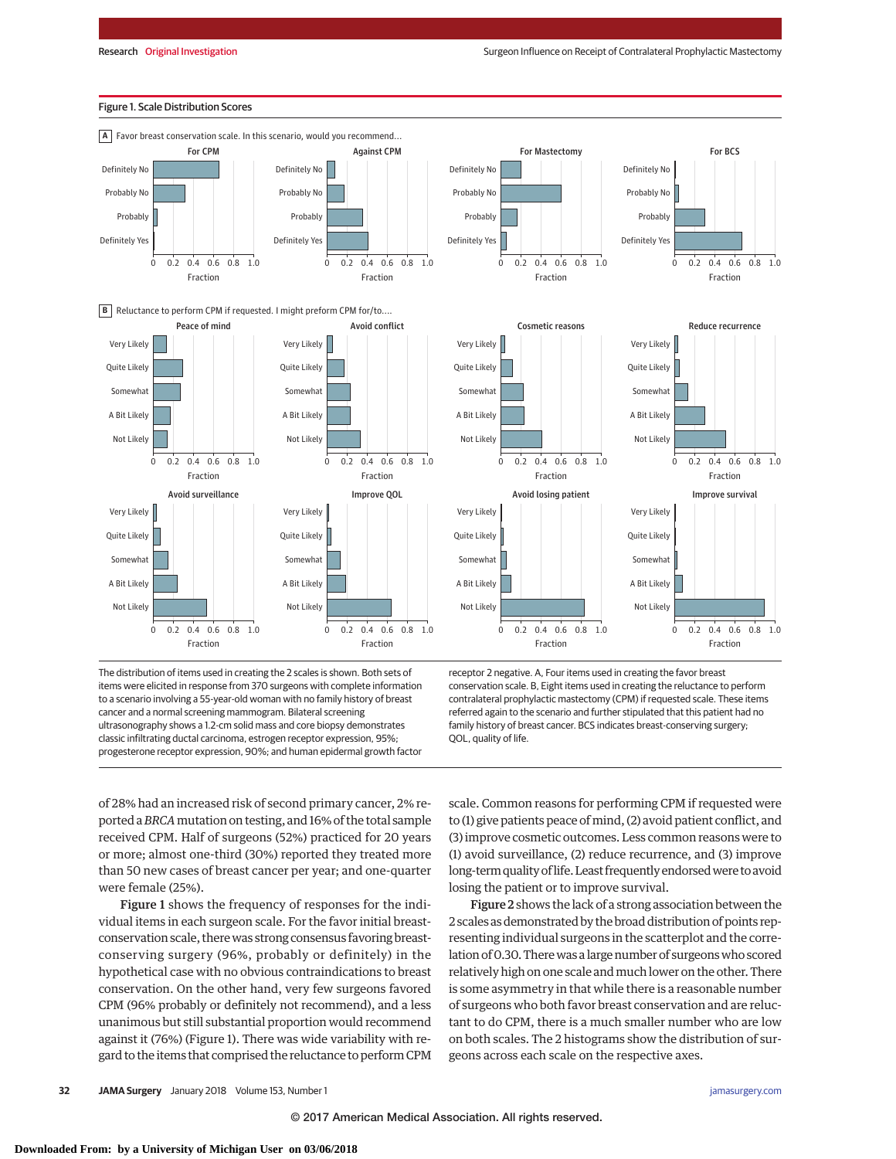

## The distribution of items used in creating the 2 scales is shown. Both sets of items were elicited in response from 370 surgeons with complete information to a scenario involving a 55-year-old woman with no family history of breast cancer and a normal screening mammogram. Bilateral screening ultrasonography shows a 1.2-cm solid mass and core biopsy demonstrates classic infiltrating ductal carcinoma, estrogen receptor expression, 95%; progesterone receptor expression, 90%; and human epidermal growth factor

receptor 2 negative. A, Four items used in creating the favor breast conservation scale. B, Eight items used in creating the reluctance to perform contralateral prophylactic mastectomy (CPM) if requested scale. These items referred again to the scenario and further stipulated that this patient had no family history of breast cancer. BCS indicates breast-conserving surgery; QOL, quality of life.

of 28% had an increased risk of second primary cancer, 2% reported a*BRCA*mutation on testing, and 16% of the total sample received CPM. Half of surgeons (52%) practiced for 20 years or more; almost one-third (30%) reported they treated more than 50 new cases of breast cancer per year; and one-quarter were female (25%).

Figure 1 shows the frequency of responses for the individual items in each surgeon scale. For the favor initial breastconservation scale, therewas strong consensus favoring breastconserving surgery (96%, probably or definitely) in the hypothetical case with no obvious contraindications to breast conservation. On the other hand, very few surgeons favored CPM (96% probably or definitely not recommend), and a less unanimous but still substantial proportion would recommend against it (76%) (Figure 1). There was wide variability with regard to the items that comprised the reluctance to perform CPM scale. Common reasons for performing CPM if requested were to (1) give patients peace of mind, (2) avoid patient conflict, and (3) improve cosmetic outcomes. Less common reasons were to (1) avoid surveillance, (2) reduce recurrence, and (3) improve long-termquality of life.Least frequently endorsedwere to avoid losing the patient or to improve survival.

Figure 2 shows the lack of a strong association between the 2 scales as demonstrated by the broad distribution of points representing individual surgeons in the scatterplot and the correlation of 0.30. There was a large number of surgeons who scored relatively high on one scale and much lower on the other. There is some asymmetry in that while there is a reasonable number of surgeons who both favor breast conservation and are reluctant to do CPM, there is a much smaller number who are low on both scales. The 2 histograms show the distribution of surgeons across each scale on the respective axes.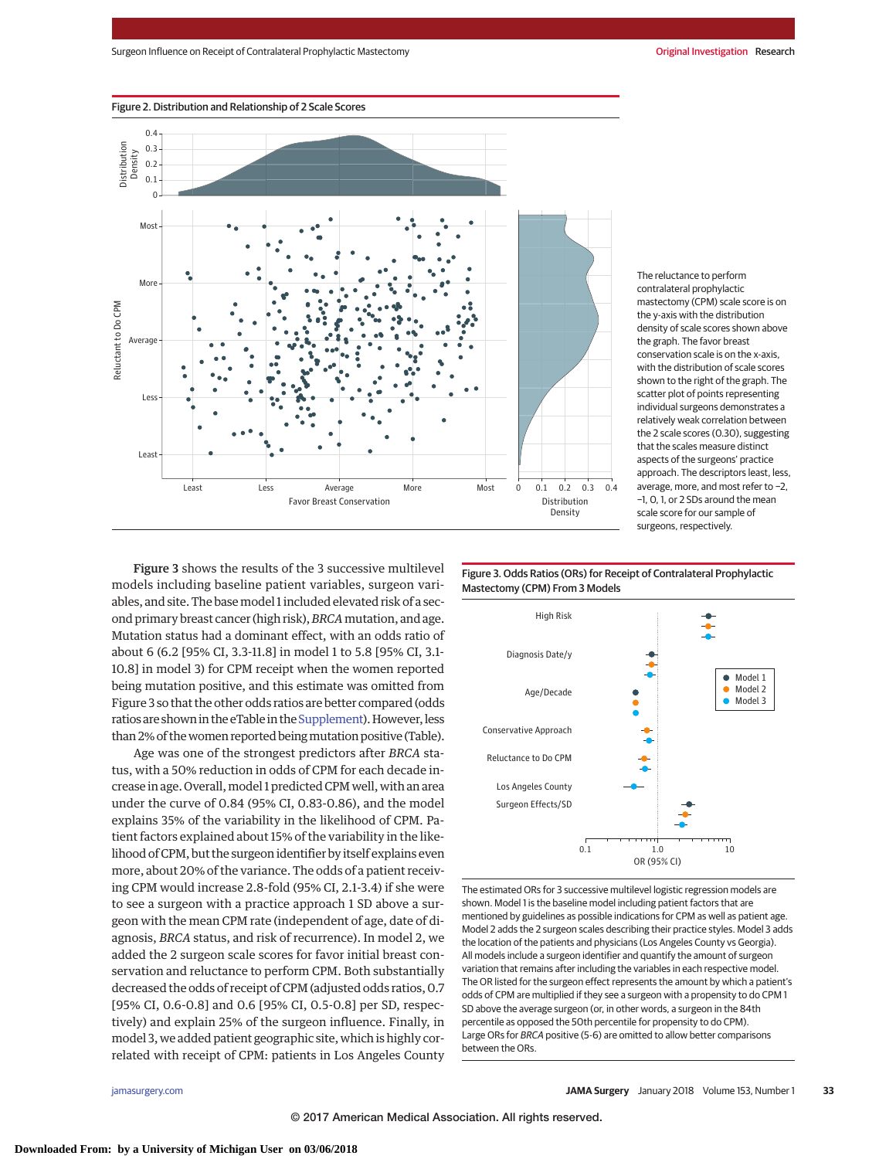

The reluctance to perform contralateral prophylactic mastectomy (CPM) scale score is on the y-axis with the distribution density of scale scores shown above the graph. The favor breast conservation scale is on the x-axis, with the distribution of scale scores shown to the right of the graph. The scatter plot of points representing individual surgeons demonstrates a relatively weak correlation between the 2 scale scores (0.30), suggesting that the scales measure distinct aspects of the surgeons' practice approach. The descriptors least, less, average, more, and most refer to −2, −1, 0, 1, or 2 SDs around the mean scale score for our sample of surgeons, respectively.

Figure 3 shows the results of the 3 successive multilevel models including baseline patient variables, surgeon variables, and site. The basemodel 1 included elevated risk of a second primary breast cancer (high risk),*BRCA*mutation, and age. Mutation status had a dominant effect, with an odds ratio of about 6 (6.2 [95% CI, 3.3-11.8] in model 1 to 5.8 [95% CI, 3.1- 10.8] in model 3) for CPM receipt when the women reported being mutation positive, and this estimate was omitted from Figure 3 so that the other odds ratios are better compared (odds ratios are shown in the eTable in the Supplement). However, less than 2% of thewomen reported beingmutation positive (Table).

Age was one of the strongest predictors after *BRCA* status, with a 50% reduction in odds of CPM for each decade increase in age. Overall, model 1 predicted CPM well, with an area under the curve of 0.84 (95% CI, 0.83-0.86), and the model explains 35% of the variability in the likelihood of CPM. Patient factors explained about 15% of the variability in the likelihood of CPM, but the surgeon identifier by itself explains even more, about 20% of the variance. The odds of a patient receiving CPM would increase 2.8-fold (95% CI, 2.1-3.4) if she were to see a surgeon with a practice approach 1 SD above a surgeon with the mean CPM rate (independent of age, date of diagnosis, *BRCA* status, and risk of recurrence). In model 2, we added the 2 surgeon scale scores for favor initial breast conservation and reluctance to perform CPM. Both substantially decreased the odds of receipt of CPM (adjusted odds ratios, 0.7 [95% CI, 0.6-0.8] and 0.6 [95% CI, 0.5-0.8] per SD, respectively) and explain 25% of the surgeon influence. Finally, in model 3, we added patient geographic site, which is highly correlated with receipt of CPM: patients in Los Angeles County

Figure 3. Odds Ratios (ORs) for Receipt of Contralateral Prophylactic Mastectomy (CPM) From 3 Models



The estimated ORs for 3 successive multilevel logistic regression models are shown. Model 1 is the baseline model including patient factors that are mentioned by guidelines as possible indications for CPM as well as patient age. Model 2 adds the 2 surgeon scales describing their practice styles. Model 3 adds the location of the patients and physicians (Los Angeles County vs Georgia). All models include a surgeon identifier and quantify the amount of surgeon variation that remains after including the variables in each respective model. The OR listed for the surgeon effect represents the amount by which a patient's odds of CPM are multiplied if they see a surgeon with a propensity to do CPM 1 SD above the average surgeon (or, in other words, a surgeon in the 84th percentile as opposed the 50th percentile for propensity to do CPM). Large ORs for BRCA positive (5-6) are omitted to allow better comparisons between the ORs.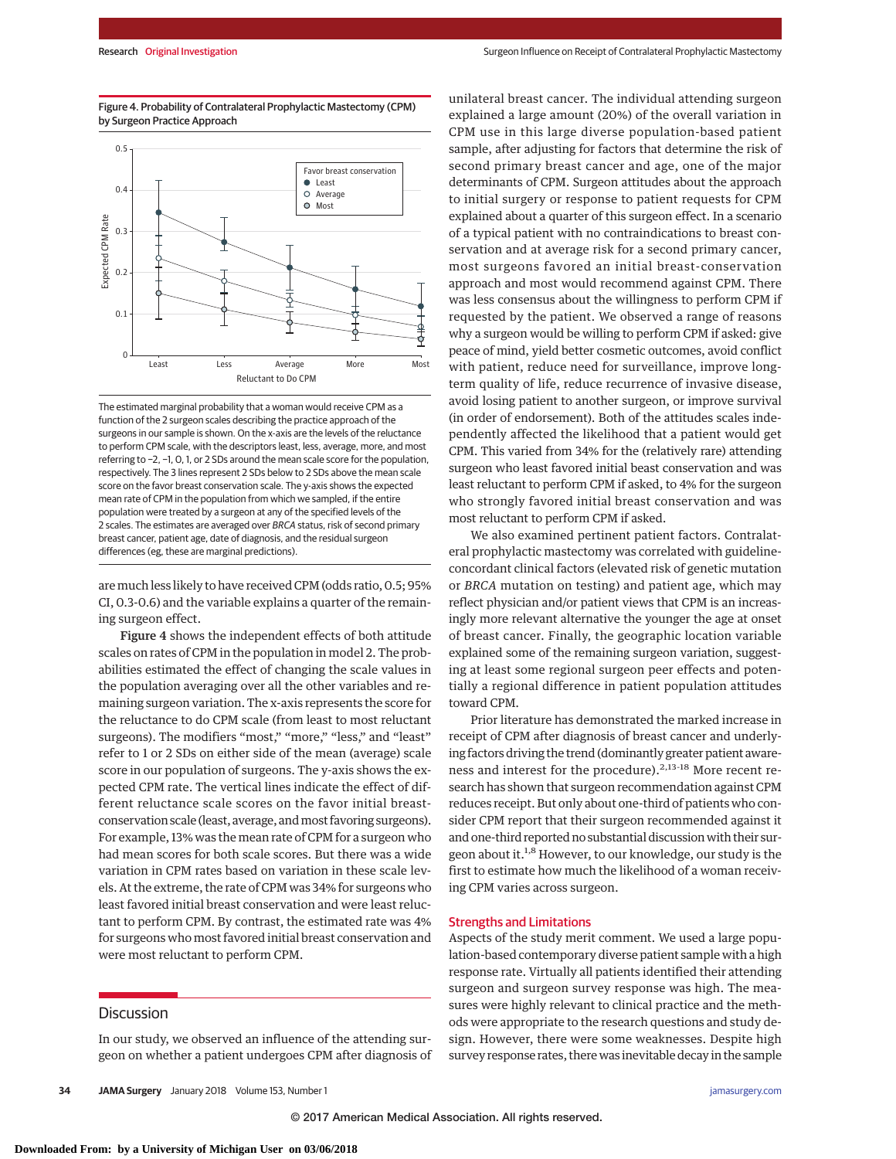Figure 4. Probability of Contralateral Prophylactic Mastectomy (CPM) by Surgeon Practice Approach



The estimated marginal probability that a woman would receive CPM as a function of the 2 surgeon scales describing the practice approach of the surgeons in our sample is shown. On the x-axis are the levels of the reluctance to perform CPM scale, with the descriptors least, less, average, more, and most referring to −2, −1, 0, 1, or 2 SDs around the mean scale score for the population, respectively. The 3 lines represent 2 SDs below to 2 SDs above the mean scale score on the favor breast conservation scale. The y-axis shows the expected mean rate of CPM in the population from which we sampled, if the entire population were treated by a surgeon at any of the specified levels of the 2 scales. The estimates are averaged over BRCA status, risk of second primary breast cancer, patient age, date of diagnosis, and the residual surgeon differences (eg, these are marginal predictions).

are much less likely to have received CPM (odds ratio, 0.5; 95% CI, 0.3-0.6) and the variable explains a quarter of the remaining surgeon effect.

Figure 4 shows the independent effects of both attitude scales on rates of CPM in the population in model 2. The probabilities estimated the effect of changing the scale values in the population averaging over all the other variables and remaining surgeon variation. The x-axis represents the score for the reluctance to do CPM scale (from least to most reluctant surgeons). The modifiers "most," "more," "less," and "least" refer to 1 or 2 SDs on either side of the mean (average) scale score in our population of surgeons. The y-axis shows the expected CPM rate. The vertical lines indicate the effect of different reluctance scale scores on the favor initial breastconservation scale (least, average, andmost favoring surgeons). For example, 13% was the mean rate of CPM for a surgeon who had mean scores for both scale scores. But there was a wide variation in CPM rates based on variation in these scale levels. At the extreme, the rate of CPM was 34% for surgeons who least favored initial breast conservation and were least reluctant to perform CPM. By contrast, the estimated rate was 4% for surgeons who most favored initial breast conservation and were most reluctant to perform CPM.

# Discussion

In our study, we observed an influence of the attending surgeon on whether a patient undergoes CPM after diagnosis of unilateral breast cancer. The individual attending surgeon explained a large amount (20%) of the overall variation in CPM use in this large diverse population-based patient sample, after adjusting for factors that determine the risk of second primary breast cancer and age, one of the major determinants of CPM. Surgeon attitudes about the approach to initial surgery or response to patient requests for CPM explained about a quarter of this surgeon effect. In a scenario of a typical patient with no contraindications to breast conservation and at average risk for a second primary cancer, most surgeons favored an initial breast-conservation approach and most would recommend against CPM. There was less consensus about the willingness to perform CPM if requested by the patient. We observed a range of reasons why a surgeon would be willing to perform CPM if asked: give peace of mind, yield better cosmetic outcomes, avoid conflict with patient, reduce need for surveillance, improve longterm quality of life, reduce recurrence of invasive disease, avoid losing patient to another surgeon, or improve survival (in order of endorsement). Both of the attitudes scales independently affected the likelihood that a patient would get CPM. This varied from 34% for the (relatively rare) attending surgeon who least favored initial beast conservation and was least reluctant to perform CPM if asked, to 4% for the surgeon who strongly favored initial breast conservation and was most reluctant to perform CPM if asked.

We also examined pertinent patient factors. Contralateral prophylactic mastectomy was correlated with guidelineconcordant clinical factors (elevated risk of genetic mutation or *BRCA* mutation on testing) and patient age, which may reflect physician and/or patient views that CPM is an increasingly more relevant alternative the younger the age at onset of breast cancer. Finally, the geographic location variable explained some of the remaining surgeon variation, suggesting at least some regional surgeon peer effects and potentially a regional difference in patient population attitudes toward CPM.

Prior literature has demonstrated the marked increase in receipt of CPM after diagnosis of breast cancer and underlying factors driving the trend (dominantly greater patient awareness and interest for the procedure).<sup>2,13-18</sup> More recent research has shown that surgeon recommendation against CPM reduces receipt. But only about one-third of patients who consider CPM report that their surgeon recommended against it and one-third reported no substantial discussion with their surgeon about it.1,8 However, to our knowledge, our study is the first to estimate how much the likelihood of a woman receiving CPM varies across surgeon.

#### Strengths and Limitations

Aspects of the study merit comment. We used a large population-based contemporary diverse patient sample with a high response rate. Virtually all patients identified their attending surgeon and surgeon survey response was high. The measures were highly relevant to clinical practice and the methods were appropriate to the research questions and study design. However, there were some weaknesses. Despite high survey response rates, there was inevitable decay in the sample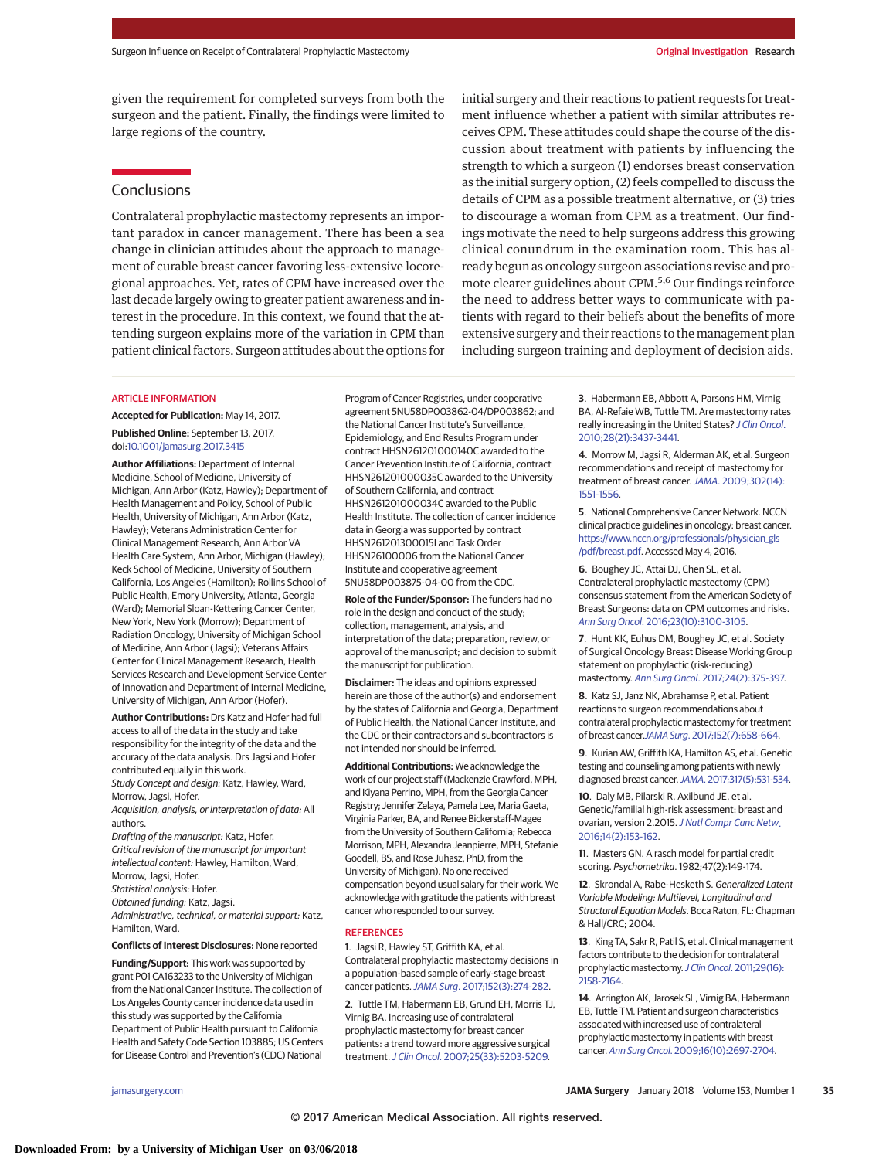given the requirement for completed surveys from both the surgeon and the patient. Finally, the findings were limited to large regions of the country.

## **Conclusions**

Contralateral prophylactic mastectomy represents an important paradox in cancer management. There has been a sea change in clinician attitudes about the approach to management of curable breast cancer favoring less-extensive locoregional approaches. Yet, rates of CPM have increased over the last decade largely owing to greater patient awareness and interest in the procedure. In this context, we found that the attending surgeon explains more of the variation in CPM than patient clinical factors. Surgeon attitudes about the options for

#### ARTICLE INFORMATION

**Accepted for Publication:** May 14, 2017. **Published Online:** September 13, 2017. doi[:10.1001/jamasurg.2017.3415](http://jama.jamanetwork.com/article.aspx?doi=10.1001/jamasurg.2017.3415&utm_campaign=articlePDF%26utm_medium=articlePDFlink%26utm_source=articlePDF%26utm_content=jamasurg.2017.3415)

**Author Affiliations:** Department of Internal Medicine, School of Medicine, University of Michigan, Ann Arbor (Katz, Hawley); Department of Health Management and Policy, School of Public Health, University of Michigan, Ann Arbor (Katz, Hawley); Veterans Administration Center for Clinical Management Research, Ann Arbor VA Health Care System, Ann Arbor, Michigan (Hawley); Keck School of Medicine, University of Southern California, Los Angeles (Hamilton); Rollins School of Public Health, Emory University, Atlanta, Georgia (Ward); Memorial Sloan-Kettering Cancer Center, New York, New York (Morrow); Department of Radiation Oncology, University of Michigan School of Medicine, Ann Arbor (Jagsi); Veterans Affairs Center for Clinical Management Research, Health Services Research and Development Service Center of Innovation and Department of Internal Medicine, University of Michigan, Ann Arbor (Hofer).

**Author Contributions:** Drs Katz and Hofer had full access to all of the data in the study and take responsibility for the integrity of the data and the accuracy of the data analysis. Drs Jagsi and Hofer contributed equally in this work. Study Concept and design: Katz, Hawley, Ward,

Morrow, Jagsi, Hofer. Acquisition, analysis, or interpretation of data: All

authors.

- Drafting of the manuscript: Katz, Hofer. Critical revision of the manuscript for important intellectual content: Hawley, Hamilton, Ward, Morrow, Jagsi, Hofer.
- Statistical analysis: Hofer.

Obtained funding: Katz, Jagsi. Administrative, technical, or material support: Katz, Hamilton, Ward.

**Conflicts of Interest Disclosures:** None reported

**Funding/Support:** This work was supported by grant P01 CA163233 to the University of Michigan from the National Cancer Institute. The collection of Los Angeles County cancer incidence data used in this study was supported by the California Department of Public Health pursuant to California Health and Safety Code Section 103885; US Centers for Disease Control and Prevention's (CDC) National

Program of Cancer Registries, under cooperative agreement 5NU58DP003862-04/DP003862; and the National Cancer Institute's Surveillance, Epidemiology, and End Results Program under contract HHSN261201000140C awarded to the Cancer Prevention Institute of California, contract HHSN261201000035C awarded to the University of Southern California, and contract HHSN261201000034C awarded to the Public Health Institute. The collection of cancer incidence data in Georgia was supported by contract HHSN261201300015I and Task Order HHSN26100006 from the National Cancer Institute and cooperative agreement 5NU58DP003875-04-00 from the CDC.

**Role of the Funder/Sponsor:** The funders had no role in the design and conduct of the study; collection, management, analysis, and interpretation of the data; preparation, review, or approval of the manuscript; and decision to submit the manuscript for publication.

**Disclaimer:** The ideas and opinions expressed herein are those of the author(s) and endorsement by the states of California and Georgia, Department of Public Health, the National Cancer Institute, and the CDC or their contractors and subcontractors is not intended nor should be inferred.

**Additional Contributions:** We acknowledge the work of our project staff (Mackenzie Crawford, MPH, and Kiyana Perrino, MPH, from the Georgia Cancer Registry; Jennifer Zelaya, Pamela Lee, Maria Gaeta, Virginia Parker, BA, and Renee Bickerstaff-Magee from the University of Southern California; Rebecca Morrison, MPH, Alexandra Jeanpierre, MPH, Stefanie Goodell, BS, and Rose Juhasz, PhD, from the University of Michigan). No one received compensation beyond usual salary for their work. We acknowledge with gratitude the patients with breast cancer who responded to our survey.

#### **REFERENCES**

**1**. Jagsi R, Hawley ST, Griffith KA, et al. Contralateral prophylactic mastectomy decisions in a population-based sample of early-stage breast cancer patients.JAMA Surg[. 2017;152\(3\):274-282.](https://www.ncbi.nlm.nih.gov/pubmed/28002555)

**2**. Tuttle TM, Habermann EB, Grund EH, Morris TJ, Virnig BA. Increasing use of contralateral prophylactic mastectomy for breast cancer patients: a trend toward more aggressive surgical treatment.J Clin Oncol[. 2007;25\(33\):5203-5209.](https://www.ncbi.nlm.nih.gov/pubmed/17954711)

initial surgery and their reactions to patient requests for treatment influence whether a patient with similar attributes receives CPM. These attitudes could shape the course of the discussion about treatment with patients by influencing the strength to which a surgeon (1) endorses breast conservation as the initial surgery option, (2) feels compelled to discuss the details of CPM as a possible treatment alternative, or (3) tries to discourage a woman from CPM as a treatment. Our findings motivate the need to help surgeons address this growing clinical conundrum in the examination room. This has already begun as oncology surgeon associations revise and promote clearer guidelines about CPM.<sup>5,6</sup> Our findings reinforce the need to address better ways to communicate with patients with regard to their beliefs about the benefits of more extensive surgery and their reactions to the management plan including surgeon training and deployment of decision aids.

> **3**. Habermann EB, Abbott A, Parsons HM, Virnig BA, Al-Refaie WB, Tuttle TM. Are mastectomy rates really increasing in the United States? [J Clin Oncol](https://www.ncbi.nlm.nih.gov/pubmed/20548000). [2010;28\(21\):3437-3441.](https://www.ncbi.nlm.nih.gov/pubmed/20548000)

> **4**. Morrow M, Jagsi R, Alderman AK, et al. Surgeon recommendations and receipt of mastectomy for treatment of breast cancer. JAMA[. 2009;302\(14\):](https://www.ncbi.nlm.nih.gov/pubmed/19826024) [1551-1556.](https://www.ncbi.nlm.nih.gov/pubmed/19826024)

**5**. National Comprehensive Cancer Network. NCCN clinical practice guidelines in oncology: breast cancer. [https://www.nccn.org/professionals/physician\\_gls](https://www.nccn.org/professionals/physician_gls/pdf/breast.pdf) [/pdf/breast.pdf.](https://www.nccn.org/professionals/physician_gls/pdf/breast.pdf) Accessed May 4, 2016.

**6**. Boughey JC, Attai DJ, Chen SL, et al. Contralateral prophylactic mastectomy (CPM) consensus statement from the American Society of Breast Surgeons: data on CPM outcomes and risks. Ann Surg Oncol[. 2016;23\(10\):3100-3105.](https://www.ncbi.nlm.nih.gov/pubmed/27469117)

**7**. Hunt KK, Euhus DM, Boughey JC, et al. Society of Surgical Oncology Breast Disease Working Group statement on prophylactic (risk-reducing) mastectomy. Ann Surg Oncol[. 2017;24\(2\):375-397.](https://www.ncbi.nlm.nih.gov/pubmed/27933411)

**8**. Katz SJ, Janz NK, Abrahamse P, et al. Patient reactions to surgeon recommendations about contralateral prophylactic mastectomy for treatment of breast cancer.JAMA Surg[. 2017;152\(7\):658-664.](https://www.ncbi.nlm.nih.gov/pubmed/28384687)

**9**. Kurian AW, Griffith KA, Hamilton AS, et al. Genetic testing and counseling among patients with newly diagnosed breast cancer.JAMA[. 2017;317\(5\):531-534.](https://www.ncbi.nlm.nih.gov/pubmed/28170472)

**10**. Daly MB, Pilarski R, Axilbund JE, et al. Genetic/familial high-risk assessment: breast and ovarian, version 2.2015.[J Natl Compr Canc Netw](https://www.ncbi.nlm.nih.gov/pubmed/26850485). [2016;14\(2\):153-162.](https://www.ncbi.nlm.nih.gov/pubmed/26850485)

**11**. Masters GN. A rasch model for partial credit scoring. Psychometrika. 1982;47(2):149-174.

**12**. Skrondal A, Rabe-Hesketh S. Generalized Latent Variable Modeling: Multilevel, Longitudinal and Structural Equation Models. Boca Raton, FL: Chapman & Hall/CRC; 2004.

**13**. King TA, Sakr R, Patil S, et al. Clinical management factors contribute to the decision for contralateral prophylactic mastectomy. J Clin Oncol[. 2011;29\(16\):](https://www.ncbi.nlm.nih.gov/pubmed/21464413) [2158-2164.](https://www.ncbi.nlm.nih.gov/pubmed/21464413)

**14**. Arrington AK, Jarosek SL, Virnig BA, Habermann EB, Tuttle TM. Patient and surgeon characteristics associated with increased use of contralateral prophylactic mastectomy in patients with breast cancer. Ann Surg Oncol[. 2009;16\(10\):2697-2704.](https://www.ncbi.nlm.nih.gov/pubmed/19653045)